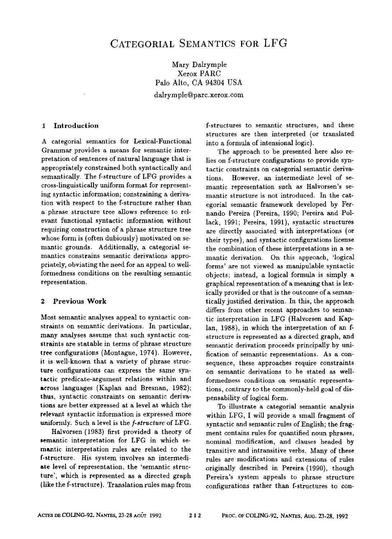# Mary Dalrymple Xerox PARC Palo Alto, CA 94304 USA dalrymple@parc.xerox.com

1 Introduction

A categorial semantics for Lexical-Functional Grammar provides a means for semantic interpretation of sentences of natural language that is appropriately constrained both syntactically and semantically. The f-structure of LFG provides a cross-linguistically uniform format for representing syntactic information; constraining a derivation with respect to the f-structure rather than a phrase structure tree allows reference to relevant functional syntactic information without requiring construction of a phrase structure tree whose form is (often dubiously) motivated on semantic grounds. Additionally, a categorial semantics constrains semantic derivations appropriately, obviating the need for an appeal to wellformedness conditions on the resulting semantic representation.

### 2 Previous Work

Most semantic analyses appeal to syntactic constraints on semantic derivations. In particular, many analyses assume that such syntactic constraints are statable in terms of phrase structure tree configurations (Montague, 1974). However, it is well-known that a variety of phrase structure configurations can express the same syntactic predicate-argument relations within and across languages (Kaplan and Bresnan, 1982); thus, syntactic constraints on semantic derivations are better expressed at a level at which the relevant syntactic information is expressed more uniformly. Such a level is the *f-structure* of LFG.

Halvorsen (1983) first provided a theory of semantic interpretation for LFG in which semantic interpretation rules are related to the f-structure. His system involves an intermediate level of representation, the 'semantic structure', which is represented as a directed graph {like the f-structure). Translation rules map from f-structures to semantic structures, and these structures are then interpreted (or translated into a formula of intensional logic).

The approach to be presented here also relies on f-structure configurations to provide syntactic constraints on categorial semantic derivations. However, an intermediate level of semantic representation such as Halvorsen's semantic structure is not introduced. In the categoriai semantic framework developed by Fernando Pereira (Pereira, 1990; Pereira and Pollack, 1991; Pereira, 1991), syntactic structures are directly associated with interpretations (or their types), and syntactic configurations license the combination of these interpretations in a semantic derivation. On this approach, 'logical forms' are not viewed as manipulable syntactic objects; instead, a logical formula is simply a graphical representation of a meaning that is lexically provided or that is the outcome of a semantically justified derivation. In this, the approach differs from other recent approaches to semantic interpretation in LFG (Halvorsen and Kaplan, 1988), in which the interpretation of an fstructure is represented as a directed graph, and semantic derivation proceeds principally by unification of semantic representations. As a consequence, these approaches require constraints on semantic derivations to be stated as wellformedness conditions on semantic representations, contrary to the commonly-held goal of dispensabihty of logical form.

To illustrate a categorial semantic analysis within LFG, I will provide a small fragment of syntactic and semantic rules of English; the fragment contains rules for quantified noun phrases, nominal modification, and clauses headed by transitive and intransitive verbs. Many of these rules are modifications and extensions of rules originally described in Pereira (1990), though Pereira's system appeals to phrase structure configurations rather than f-structures to con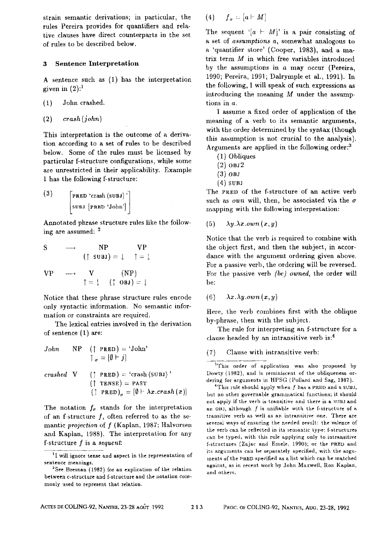strain semantic derivations; in particular, the rules Pereira provides for quantifiers and relative clauses have direct counterparts in the set of rules to be described below.

#### 3 Sentence Interpretation

A sentence such as (1) has the interpretation given in  $(2)$ :<sup>1</sup>

- (1) John crashed.
- (2) *crash (john)*

This interpretation is the outcome of a derivation according to a set of rules to be described below. Some of the rules must be licensed by particular f-structure configurations, while some are unrestricted in their apphcahihty. Example 1 has the following f-structure:

$$
\begin{bmatrix}\n(3) & \left[\n\begin{array}{c}\n\text{PRED 'crash (sub1)''} \\
\text{sub1}\left[\n\begin{array}{c}\n\text{PRED 'John'}\n\end{array}\n\end{bmatrix}\n\end{bmatrix}\n\right]\n\end{bmatrix}
$$

Annotated phrase structure rules like the following are assumed: 2

$$
S \longrightarrow NP \text{VP}
$$
  
\n
$$
(1 \text{ sub}) = \downarrow \uparrow = \downarrow
$$
  
\n
$$
VP \longrightarrow V \text{ (NP)}
$$
  
\n
$$
1 = \downarrow (\uparrow 0 \text{ b}) = \downarrow
$$

Notice that these phrase structure rules encode only syntactic information. No semantic information or constraints are required.

The lexical entries involved in the derivation of sentence (1) are:

John NP († PRED) = 'John'  
\n
$$
1_{\sigma} = [\emptyset \vdash j]
$$
  
\ncrashed V († PRED) = 'crash (SUB1)'  
\n(† TENSE) = PAST  
\n(† PRED) <sub>$\sigma$</sub>  = [ $\emptyset \vdash \lambda x$ .crash(x)]

The notation  $f_{\sigma}$  stands for the interpretation of an f-structure  $f$ , often referred to as the semantic *projection* of f (Kaplan, 1987; Halvorsen and Kaplan, 1988). The interpretation for any f-structure f is a *sequent:* 

$$
(4) \qquad f_{\sigma}=[a\vdash M]
$$

The sequent  $[a + M]'$  is a pair consisting of a set of *assumptions a,* somewhat analogous to a 'quantifier store' (Cooper, 1983), and a matrix term M in which free variables introduced by the assumptions in  $a$  may occur (Pereira, 1990; Pereira, 1991; Dalrymple et al., 1991). In the following, I will speak of such expressions as introducing the meaning  $M$  under the assumptions in a.

I assume a fixed order of application of the meaning of a verb to its semantic arguments, with the order determined by the syntax (though this assmnption is not crucial to the analysis). Arguments are applied in the following order: $3$ 

- (1) Obliques
- $(2)$  OBJ $2$
- **(3) osJ**
- **(4)** sunJ

The PRED of the f-structure of an active verb such as *own* will, then, be associated via the  $\sigma$ mapping with the following interpretation:

(5) *Ay.Ax.own(x,y)* 

Notice that the verb is required to combine with the object first, and then the subject, in accordance with the argument ordering given above. For a passive verb, the ordering will be reversed. For the passive verb *(be) owned,* the order will be:

(6)  $\lambda x.\lambda y.own(x,y)$ 

Here, the verb combines first with the oblique by-phrase, then with the subject.

The rule for interpreting an f-structure for a clause headed by an intransitive verb is:<sup>4</sup>

(7) Clause with intransitive verb:

<sup>1</sup>I will ignore tense and aspect in the representation of sentence meanings.

 $2$ See Bresnan (1982) for an explication of the relation between c-structure and f-structure and the notation commonly used to represent that relation.

<sup>&</sup>lt;sup>3</sup>This order of application was also proposed by Dowry (1982), and is reminiscent of the obliqueness ordering for arguments in HPSG (Pollard and Sag, 1987).

<sup>&</sup>lt;sup>4</sup>This rule should apply when  $f$  has a PRED and a SUBJ, but no other governable grammatical functions; it should not apply if the verb is transitive and there is a SUBJ and an OBJ, although  $f$  is unifiable with the f-structure of a transitive verb as well as an intransitive one. There are several ways of ensuring the needed result: the valence of the verb can be reflected in its semantic type; f-structures can be typed, with this rule applying only to intransitive f-structures (Zajac and Emele, 1990); or the PRED and its arguments can be separately specified, with the argumarts of the PRED specified as a list which can be mntched against, as in recent work by John Maxwell, Ron Kaplan, and others.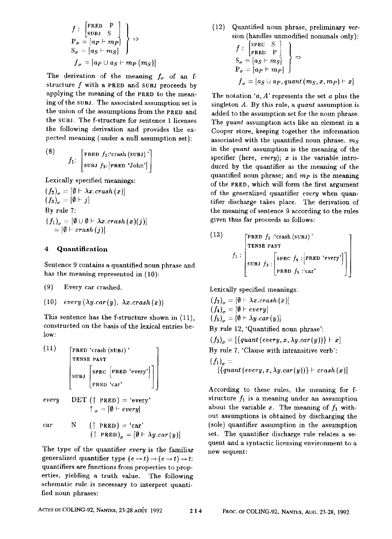$$
f: \begin{bmatrix} \text{PRED} & P \\ \text{SUBJ} & S \\ P_{\sigma} = [a_P \vdash m_P] \\ S_{\sigma} = [a_S \vdash m_S] \end{bmatrix} \Rightarrow
$$
\n
$$
f_{\sigma} = [a_P \cup a_S \vdash m_P(m_S)]
$$

The derivation of the meaning  $f_{\sigma}$  of an fstructure  $f$  with a PRED and SUBJ proceeds by applying the meaning of the PRED to the meaning of the suBJ. The associated assumption set is the union of the assmnptions from the PRED and the SUBJ. The f-structure for sentence 1 licenses the following derivation and provides the expected meaning (under a null assumption set):

(8) 
$$
f_1
$$
: 
$$
\begin{bmatrix} \texttt{pRED} & f_2 \texttt{:}^{\texttt{crash}} \langle \texttt{SUBJ} \rangle \\ \texttt{SUBJ} & f_3 \texttt{:} \langle \texttt{PRED 'John'} \rangle \end{bmatrix}
$$

Lexically specified meanings:

 $(f_2)_{\sigma} = [\emptyset \vdash \lambda x.crash(x)]$  $(f_3)_{\sigma} = [0 \vdash j]$ By rule 7:  $(f_1)_{\sigma} = [\emptyset \cup \emptyset \vdash \lambda x.crash(x)(j)]$  $= [\emptyset \vdash crash(j)]$ 

### 4 Quantification

Sentence 9 contains a quantified noun phrase and has the meaning represented in (10):

- (9) Every car crashed.
- (10)  $every (\lambda y. car(y), \lambda x. crash(x))$

This sentence has the f-structure shown in (11), constructed on the basis of the lexical entries below:

(11)  
\n
$$
\begin{bmatrix}\n\text{PRED 'crash (SUBJ)'} \\
\text{TENSE PAST} \\
\text{SUBJ }\n\end{bmatrix}\n\begin{bmatrix}\n\text{SPEC }\n\begin{bmatrix}\n\text{PRED 'every'}\n\end{bmatrix} \\
\text{SUBJ }\n\end{bmatrix}
$$

every 
$$
\begin{array}{ll}\n\text{DET } (\uparrow \text{ PRED}) = \text{ 'every'} \\
\uparrow_{\sigma} = [\emptyset \vdash \text{ every}]\n\end{array}
$$

$$
car \t N \t († PRED) = 'car'(† PRED)g = [\emptyset \vdash \lambda y.car(y)]
$$

The type of the quantifier *every* is the familiar generalized quantifier type  $(e \rightarrow t) \rightarrow (e \rightarrow t) \rightarrow t$ : quantifiers are functions from properties to properties, yielding a truth value. The following schematic rule is necessary to interpret quantified noun phrases:

(12) Quantified noun phrase, preliminary version (handles unmodified nominals only):  $f_{\text{max}}$   $\sigma$   $\rightarrow$ 

$$
f: \begin{bmatrix} \text{SPEC} & S \\ \text{PRED} & P \\ S_{\sigma} = [a_S + m_S] \\ P_{\sigma} = [a_P + m_P] \end{bmatrix} \Rightarrow
$$
\n
$$
f_{\sigma} = [a_S \cup a_P, \text{quant}(m_S, x, m_P) \vdash x]
$$

The notation ' $a, A$ ' represents the set  $a$  plus the singleton A. By this rule, a *quant* assumption is added to the assumption set for the noun phrase. The *quant* assumption acts like an element in a Cooper store, keeping together the information associated with the quantified noun phrase,  $m<sub>s</sub>$ in the *quant* assumption is the meaning of the specifier (here, *every); z* is the variable introduced by the quantifier as the meaning of the quantified noun phrase; and  $m<sub>P</sub>$  is the meaning of the PRED, which will form the first argument of the generalized quantifier *every* when quantifier discharge takes place. The derivation of the meaning of sentence 9 according to the rnles given thus far proceeds as follows:

(13)  

$$
f_1: \begin{bmatrix} \texttt{PRED} & f_2 : \texttt{crash} \langle \texttt{SUBJ} \rangle \\ \texttt{TENSE PAST} \\ \texttt{SUBJ} & f_3 : \begin{bmatrix} \texttt{SPEC} & f_4 : \begin{bmatrix} \texttt{PRED} & \texttt{every} \end{bmatrix} \\ \texttt{PRED} & f_5 : \texttt{car} \end{bmatrix} \end{bmatrix}
$$

*Lexically* specified meanings:

 $(f_2)_{\alpha} = [\emptyset \vdash \lambda x. crash(x)]$  $(f_4)_{\sigma} = [\emptyset \vdash every]$  $(f_5)_{\alpha} = [\emptyset \vdash \lambda y. car(y)]$ By rule 12, 'Quantified noun phrase':  $(f_3)_\sigma = [\{quant(every, x, \lambda y, car(y))\} \vdash x]$ By rule 7, 'Clause with intransitive verb':  $(f_1)_a =$  $\left[\left\{quant\left(\text{every},x,\lambda y, \text{car}(y)\right)\right\} \vdash \text{crash}(x)\right]$ 

According to these rules, the meaning for fstructure  $f_1$  is a meaning under an assumption about the variable x. The meaning of  $f_1$  without assumptions is obtained by discharging the (sole) quantifier assumption in the assumption set. The quantifier discharge rule relates a sequent and a syntactic licensing environment to a new sequent: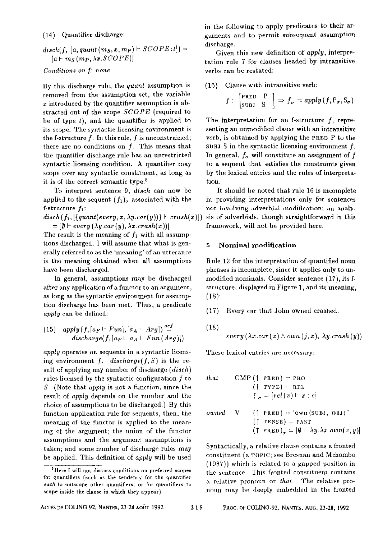(14) Quantifier discharge:

 $disch(f, [a, quant(m<sub>S</sub>, x, m<sub>P</sub>) \vdash SCOPE:t]) =$  $[a \vdash m_S(m_P, \lambda x. SCOPE)]$ 

#### *Conditions on f: none*

By this discharge rule, the *quant* assumption is removed from the assumption set, the variable  $x$  introduced by the quantifier assumption is abstracted out of the scope *SCOPE* (required to be of type  $t$ ), and the quantifier is applied to its scope. The syntactic licensing environment is the f-structure  $f$ . In this rule,  $f$  is unconstrained; there are no conditions on f. This means that the quantifier discharge rule has an unrestricted syntactic licensing condition. A quantifier may scope over any syntactic constituent, as long as it is of the correct semantic type.<sup>5</sup>

To interpret sentence 9, *diseh* can now be applied to the sequent  $(f_1)_{\sigma}$  associated with the f-structure  $f_1$ :

 $disch(f_1, \{quant(every, x, \lambda y, car(y))\} \vdash crash(x)]$  $= [\emptyset \vdash every (\lambda y. car(y), \lambda x. crash(x))]$ 

The result is the meaning of  $f_1$  with all assumptions discharged. I will assume that what is generally referred to as the 'meaning' of an utterance is the meaning obtained when all assumptions have been discharged.

In general, assumptions may be discharged after any application of a functor to an argument, as long as the syntactic enviromnent for assumption discharge has been met. Thus, a predicate *apply* can be defined:

(15) apply 
$$
(f, [a_F \vdash Fun], [a_A \vdash Arg]) \stackrel{def}{=} \\ \text{discharge}(f, [a_F \cup a_A \vdash Fun \,(Arg)])
$$

*apply* operates on sequents in a syntactic licensing environment *f. discharge(f, S)* is the result of applying any number of discharge *(disch)*  rules licensed by the syntactic configuration  $f$  to S. (Note that *apply* is not a function, since the result of *apply* depends on the number and the choice of assumptions to be discharged.) By this function application rule for sequents, then, the meaning of the fimctor is applied to the meaning of the argument; the union of the functor assumptions and the argument assumptions is taken; and some number of discharge rules may be applied. This definition of *apply* will be used

in the following to apply predicates to their arguments and to permit subsequent assumption discharge.

Given this new definition of *apply,* interpretation rule 7 for clauses headed by intransitive verbs can be restated:

## (16) Clause with intransitive verb:

$$
f: \begin{bmatrix} \texttt{FRED} & P \\ \texttt{SUBJ} & S \end{bmatrix} \Rightarrow f_{\sigma} = apply(f, P_{\sigma}, S_{\sigma})
$$

The interpretation for an f-structure  $f$ , representing an umnodified clause with an intransitive verb, is obtained by applying the PRED P to the SUBJ S in the syntactic licensing environment  $f$ . In general,  $f_{\alpha}$  will constitute an assignment of f to a sequent that satisfies the constraints given by the lexical entries and the rules of interpretation.

It should be noted that rule 16 is incomplete in providing interpretations only for sentences not involving adverbial modification; an analysis of adverbials, though straightforward in this framework, will not be provided here.

## 5 Nominal modification

Rule 12 for the interpretation of quantified noun phrases is incomplete, since it applies only to unmodified nominals. Consider sentence (17), its fstructure, displayed in Figure 1, and its meaning, (18):

- (17) Every car that John owned crashed.
- (18)  $=very (\lambda x. car(x) \wedge own (j, x), \lambda y. crash (y))$

These lexical entries are necessary:

that 
$$
\text{CMP}(\uparrow \text{PRED}) = \text{PRO}
$$

$$
(\uparrow \text{TYPE}) = \text{REL}
$$

$$
\uparrow_{\sigma} = [rel(x) \vdash x : e]
$$

$$
\text{owned} \quad \text{V} \quad (\uparrow \text{PRED}) = \text{PAST}
$$

$$
(\uparrow \text{PRED}) = \text{PAST}
$$

$$
(\uparrow \text{PRED})_{\sigma} = [\emptyset \vdash \lambda y . \lambda x . \text{own}(x, y)]
$$

Syntactically, a relative clause contains a fronted constituent (a TOPIC; see Bresnan and Mchombo (1987)) which is related to a gapped position in the sentence. This fronted constituent contains a relative pronoun or *that*. The relative pronoun may be deeply embedded in the fronted

<sup>~</sup>Here [ will not discuss conditions on preferred scopes for quantifiers (such as the tendency for the quantifier *each* to outscope other quantifiers, or for quantifiers to scope inside the clause in which they appear).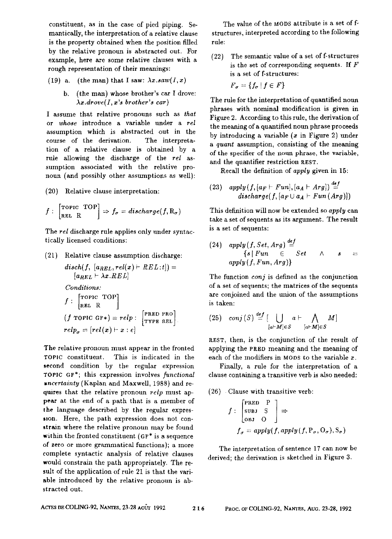constituent, as in the ease of pied piping. Semantically, the interpretation of a relative clause is the property obtained when the position filled by the relative pronoun is abstracted out. For example, here are some relative clauses with a rough representation of their meanings:

- (19) a. (the man) that I saw:  $\lambda x \cdot saw(I, x)$ 
	- b. (the man) whose brother's ear I drove:  $\lambda x.drove(I, x's brother's car)$

I assume that relative pronouns such as *that*  or *whose* introduce a variable under a rel assumption which is abstracted out in the course of the derivation. The interpretation of a relative clause is obtained by a rule allowing the discharge of the *rel* assumption associated with the relative pronoun (and possibly other assumptions as well):

(20) Relative clause interpretation:

$$
f: \begin{bmatrix} \text{TOPIC} & \text{TOP} \\ \text{REL} & \text{R} \end{bmatrix} \Rightarrow f_{\sigma} = discharge(f, R_{\sigma})
$$

The *tel* discharge rule applies only under syntactically licensed conditions:

(21) Relative clause assumption discharge:

$$
disch(f, [a_{REL}, rel(x) \vdash REL:t]) =
$$
  
\n
$$
[a_{REL} \vdash \lambda x. REL]
$$
  
\nConditions:  
\n
$$
f : \begin{bmatrix} \text{roprc TOP} \\ \text{REL R} \end{bmatrix}
$$
  
\n
$$
(f \text{TOPC GF*)} = relp : \begin{bmatrix} \text{PRED PRO} \\ \text{TPPE REL} \end{bmatrix}
$$
  
\n
$$
relp_{\sigma} = [rel(x) \vdash x : e]
$$

The relative pronoun must appear in the fronted TOPIC constituent. This is indicated in the second condition by the regular expression TOPIC OF\*; this expression involves *functional uncertainty* (Kaplan and Maxwell, 1988) and requires that the relative pronoun *relp* must appear at the end of a path that is a member of the language described by the regular expression. Here, the path expression does not constrain where the relative pronoun may be found within the fronted constituent  $(GF^*)$  is a sequence of zero or more grammatical functions); a more complete syntactic analysis of relative clauses would constrain the path appropriately. The result of the application of rule 21 is that the variable introduced by the relative pronoun is abstracted out.

The value of the MODS attribute is a set of fstructures, interpreted according to the following r ule:

(22) The semantic value of a set of f-structures is the set of corresponding sequents. If  $F$ is a set of f-structures:

$$
F_{\sigma} = \{f_{\sigma} \mid f \in F\}
$$

The rule for the interpretation of quantified noun phrases with nominal modification is given in Figure 2. According to this rule, the derivation of the meaning of a quantified noun phrase proceeds by introducing a variable  $(x \text{ in Figure 2})$  under *a quant* assumption, consisting of the meaning of the specifier of the noun phrase, the variable, and the quantifier restriction REST.

Recall the definition of *apply* given in 15:

(23)  $apply(f, [a_F \vdash Fun], [a_A \vdash Arg]) \stackrel{def}{=}$  $discharge(f,[a_F \cup a_A \vdash Fun(Ara)])$ 

This definition will now be extended so *apply can*  take a set of sequents as its argument. The result is a set of sequents:

 $(24)$  *apply*  $(f, Set, Arg) \cong f$  $\{s \mid Fun \in Set \land s =$ *apply (f, Fun,* Arg)}

The function *conj* is defined as the conjunction of a set of sequents; the matrices of the sequents are conjoined and the union of the assumptions is taken:

$$
(25) \quad conj(S) \stackrel{def}{=} [\bigcup_{[a \vdash M] \in S} a \vdash \bigwedge_{[a \vdash M] \in S} M]
$$

nEST, then, is the conjunction of the result of applying the PRED meaning and the meaning of each of the modifiers in MODS to the variable  $x$ .

Finally, a rule for the interpretation of a clause containing a transitive verb is also needed:

(26) Clause with transitive verb:

$$
f: \begin{bmatrix} \text{PRED} & P \\ \text{SUBJ} & S \\ \text{OBJ} & O \end{bmatrix} \Rightarrow
$$
\n
$$
f_{\sigma} = apply(f, apply(f, P_{\sigma}, O_{\sigma}), S_{\sigma})
$$

The interpretation of sentence 17 can now be derived; the derivation is sketched in Figure 3.

ACTES DE COLING-92, NANTES, 23-28 AOÛT 1992 216 PROC. OF COLING-92, NANTES, AUG. 23-28, 1992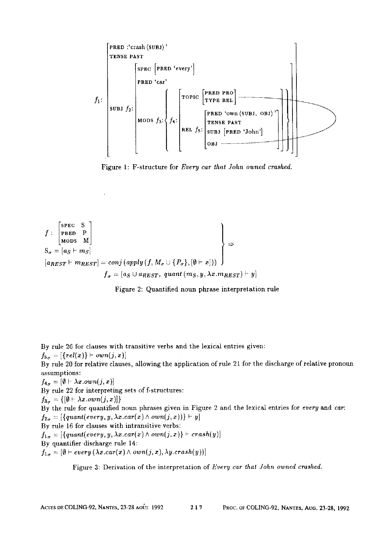**/1 :**  -PRED :'crash (sun,l)' TENSE PAST SUBJ f2: "SPEC [PRED'every'] PRED 'car' [ [TOPIC [ PRE: PRLO ] **! / I I MODS f3:]/4: / /,E,,sE ,'AST I I ( [ L t°'J ]JJ**  *,1 /* 

Figure 1: F-structure for *Every car that John owned crashed.* 

$$
f: \begin{bmatrix} \text{spec} & S \\ \text{prBD} & P \\ \text{MODS} & M \end{bmatrix}
$$
\n
$$
S_{\sigma} = [a_S + m_S]
$$
\n
$$
[a_{REST} + m_{REST}] = conj(\text{apply}(f, M_{\sigma} \cup \{P_{\sigma}\}, [\emptyset \vdash x]))
$$
\n
$$
f_{\sigma} = [a_S \cup a_{REST}, \text{quant}(m_S, y, \lambda x. m_{REST}) \vdash y]
$$



By rule 26 for clauses with transitive verbs and the lexical entries given:

 $f_{5a} = [{rel(x)} \vdash own(j,x)]$ 

By rule 20 for relative clauses, allowing the application of rule 21 for the discharge of relative pronoun assumptions:

 $f_{4\sigma} = [\emptyset \vdash \lambda x.own(j, x)]$ By rule 22 for interpreting sets of f-structures:  $f_{3\sigma} = \{[\emptyset \vdash \lambda x.own(j,x)]\}$ By the rule for quantified noun phrases given in Figure 2 and the lexical entries tbr *every* and *car:*   $f_{2\sigma} = [{quant(every, y, \lambda x. car(x) \wedge own(j, x))} + y]$ By rule 16 for clauses with intransitive verbs:  $f_{1\sigma} = [{quant(every, y, \lambda x, car(x) \wedge own(j, x)} \vdash crash(y)]$ By quantifier discharge rule 14:  $f_{1\sigma} = [\emptyset + every (\lambda x. car(x) \wedge own(j, x), \lambda y. crash(y))]$ 

Figure 3: Derivation of the interpretation of *Every car that John owned crashed.*